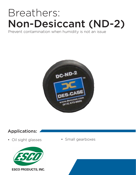# Breathers: Non-Desiccant (ND-2)

### Prevent contamination when humidity is not an issue



## Applications:



• Oil sight glasses • Small gearboxes